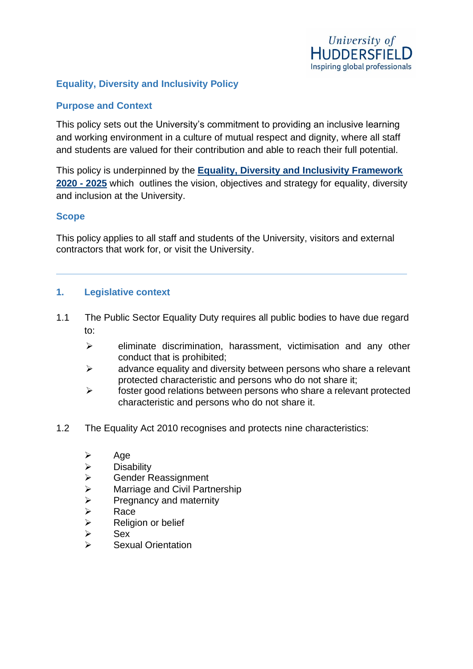

### **Equality, Diversity and Inclusivity Policy**

#### **Purpose and Context**

This policy sets out the University's commitment to providing an inclusive learning and working environment in a culture of mutual respect and dignity, where all staff and students are valued for their contribution and able to reach their full potential.

This policy is underpinned by the **[Equality, Diversity and Inclusivity Framework](https://staff.hud.ac.uk/media/universityofhuddersfield/content/files/hr/equality/EDIFramework2020-25UniversityofHuddersfield.pdf)  2020 - [2025](https://staff.hud.ac.uk/media/universityofhuddersfield/content/files/hr/equality/EDIFramework2020-25UniversityofHuddersfield.pdf)** which outlines the vision, objectives and strategy for equality, diversity and inclusion at the University.

#### **Scope**

This policy applies to all staff and students of the University, visitors and external contractors that work for, or visit the University.

#### **1. Legislative context**

- 1.1 The Public Sector Equality Duty requires all public bodies to have due regard to:
	- ➢ eliminate discrimination, harassment, victimisation and any other conduct that is prohibited;
	- $\triangleright$  advance equality and diversity between persons who share a relevant protected characteristic and persons who do not share it;
	- ➢ foster good relations between persons who share a relevant protected characteristic and persons who do not share it.
- 1.2 The Equality Act 2010 recognises and protects nine characteristics:
	- ➢ Age
	- ➢ Disability
	- ➢ Gender Reassignment
	- $\triangleright$  Marriage and Civil Partnership
	- $\triangleright$  Pregnancy and maternity
	- ➢ Race
	- ➢ Religion or belief
	- ➢ Sex
	- ➢ Sexual Orientation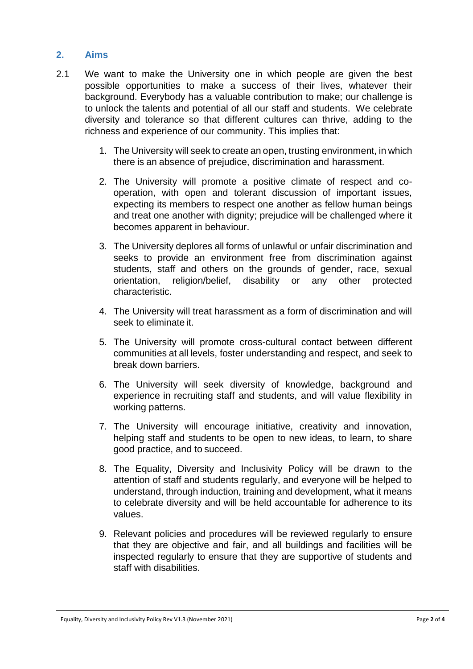#### **2. Aims**

- 2.1 We want to make the University one in which people are given the best possible opportunities to make a success of their lives, whatever their background. Everybody has a valuable contribution to make; our challenge is to unlock the talents and potential of all our staff and students. We celebrate diversity and tolerance so that different cultures can thrive, adding to the richness and experience of our community. This implies that:
	- 1. The University will seek to create an open, trusting environment, in which there is an absence of prejudice, discrimination and harassment.
	- 2. The University will promote a positive climate of respect and cooperation, with open and tolerant discussion of important issues, expecting its members to respect one another as fellow human beings and treat one another with dignity; prejudice will be challenged where it becomes apparent in behaviour.
	- 3. The University deplores all forms of unlawful or unfair discrimination and seeks to provide an environment free from discrimination against students, staff and others on the grounds of gender, race, sexual orientation, religion/belief, disability or any other protected characteristic.
	- 4. The University will treat harassment as a form of discrimination and will seek to eliminate it.
	- 5. The University will promote cross-cultural contact between different communities at all levels, foster understanding and respect, and seek to break down barriers.
	- 6. The University will seek diversity of knowledge, background and experience in recruiting staff and students, and will value flexibility in working patterns.
	- 7. The University will encourage initiative, creativity and innovation, helping staff and students to be open to new ideas, to learn, to share good practice, and to succeed.
	- 8. The Equality, Diversity and Inclusivity Policy will be drawn to the attention of staff and students regularly, and everyone will be helped to understand, through induction, training and development, what it means to celebrate diversity and will be held accountable for adherence to its values.
	- 9. Relevant policies and procedures will be reviewed regularly to ensure that they are objective and fair, and all buildings and facilities will be inspected regularly to ensure that they are supportive of students and staff with disabilities.

Equality, Diversity and Inclusivity Policy Rev V1.3 (November 2021) Page **2** of **4**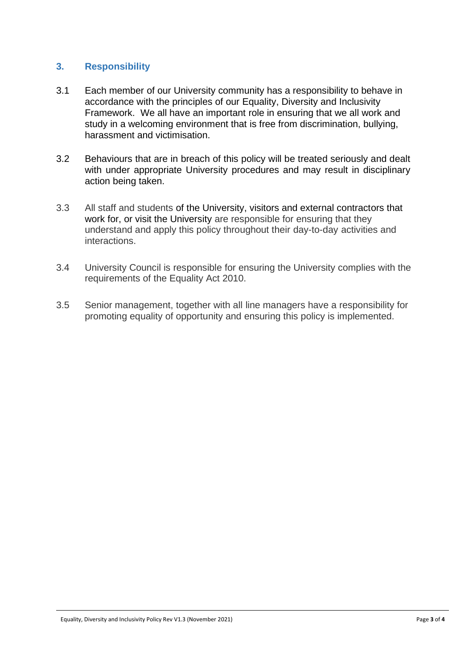## **3. Responsibility**

- 3.1 Each member of our University community has a responsibility to behave in accordance with the principles of our Equality, Diversity and Inclusivity Framework. We all have an important role in ensuring that we all work and study in a welcoming environment that is free from discrimination, bullying, harassment and victimisation.
- 3.2 Behaviours that are in breach of this policy will be treated seriously and dealt with under appropriate University procedures and may result in disciplinary action being taken.
- 3.3 All staff and students of the University, visitors and external contractors that work for, or visit the University are responsible for ensuring that they understand and apply this policy throughout their day-to-day activities and interactions.
- 3.4 University Council is responsible for ensuring the University complies with the requirements of the Equality Act 2010.
- 3.5 Senior management, together with all line managers have a responsibility for promoting equality of opportunity and ensuring this policy is implemented.